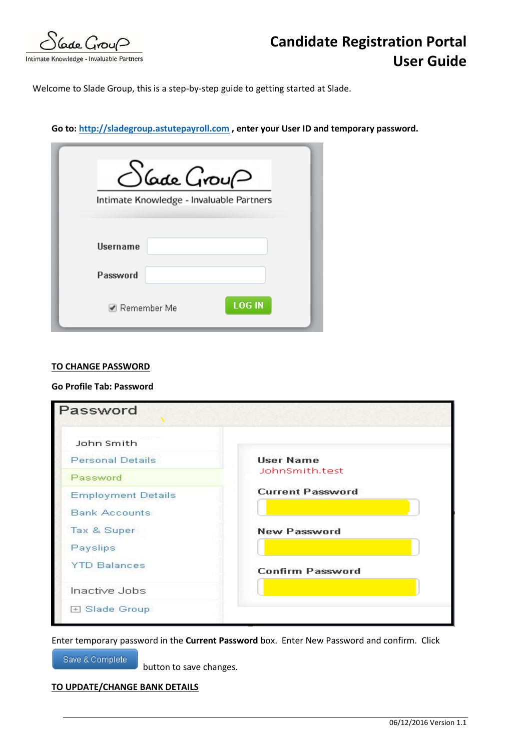Gade Group

Intimate Knowledge - Invaluable Partners

Welcome to Slade Group, this is a step-by-step guide to getting started at Slade.

## **Go to[: http://sladegroup.astutepayroll.com](http://sladegroup.astutepayroll.com/) , enter your User ID and temporary password.**

| $\bigcirc$ Gade Grou $\varphi$<br>Intimate Knowledge - Invaluable Partners |               |
|----------------------------------------------------------------------------|---------------|
| <b>Username</b>                                                            |               |
| Password                                                                   |               |
| ☑ Remember Me                                                              | <b>LOG IN</b> |

### **TO CHANGE PASSWORD**

## **Go Profile Tab: Password**

| Password                  |                         |
|---------------------------|-------------------------|
| John Smith                |                         |
| <b>Personal Details</b>   | <b>User Name</b>        |
| Password                  | JohnSmith.test          |
| <b>Employment Details</b> | <b>Current Password</b> |
| <b>Bank Accounts</b>      |                         |
| Tax & Super               | New Password            |
| Payslips                  |                         |
| <b>YTD Balances</b>       | <b>Confirm Password</b> |
| Inactive Jobs             |                         |
| 田 Slade Group             |                         |

Enter temporary password in the **Current Password** box. Enter New Password and confirm. Click

Save & Complete

button to save changes.

# **TO UPDATE/CHANGE BANK DETAILS**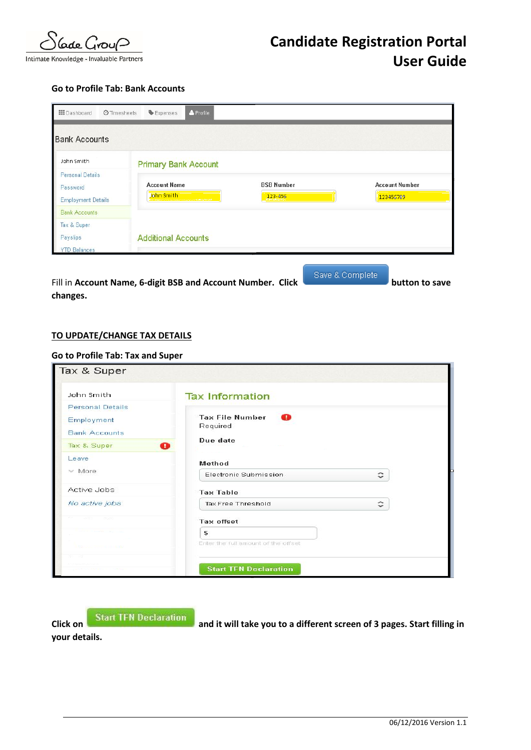

### **Go to Profile Tab: Bank Accounts**

| <b>III</b> Dashboard                                             | <b>O</b> Timesheets<br>Expenses   | & Profile                        |                              |                                    |
|------------------------------------------------------------------|-----------------------------------|----------------------------------|------------------------------|------------------------------------|
| <b>Bank Accounts</b>                                             |                                   |                                  |                              |                                    |
| John Smith                                                       | <b>Primary Bank Account</b>       |                                  |                              |                                    |
| <b>Personal Details</b><br>Password<br><b>Employment Details</b> | <b>Account Name</b><br>John Smith | <b>Continued and Manufacture</b> | <b>BSB Number</b><br>123-456 | <b>Account Number</b><br>123456789 |
| <b>Bank Accounts</b>                                             |                                   |                                  |                              |                                    |
| Tax & Super<br>Payslips                                          | <b>Additional Accounts</b>        |                                  |                              |                                    |
| <b>YTD Balances</b>                                              |                                   |                                  |                              | Save & Complete                    |

Fill in Account Name, 6-digit BSB and Account Number. Click **but the account of the same is also as a state of the save changes.**

## **TO UPDATE/CHANGE TAX DETAILS**

#### **Go to Profile Tab: Tax and Super**

| John Smith                       | <b>Tax Information</b>                  |                     |
|----------------------------------|-----------------------------------------|---------------------|
| <b>Personal Details</b>          |                                         |                     |
| Employment                       | <b>Tax File Number</b><br>Œ<br>Required |                     |
| <b>Bank Accounts</b>             |                                         |                     |
| Tax & Super                      | Due date<br>Œ                           |                     |
| Leave                            | Method                                  |                     |
| $\times$ More                    | Electronic Submission                   | $\hat{\phantom{a}}$ |
| Active Jobs                      | <b>Tax Table</b>                        |                     |
| No active jobs                   | <b>Tax Free Threshold</b>               | ≎                   |
| <b>INSURA</b><br><b>Cardinal</b> | <b>Tax offset</b>                       |                     |
|                                  | £                                       |                     |
| <b>Resourcement in this way</b>  | Enter the full amount of the offset     |                     |
| 84 48                            |                                         |                     |
|                                  | <b>Start TFN Declaration</b>            |                     |

**Click on Click on Start TEN Declaration** and it will take you to a different screen of 3 pages. Start filling in **your details.**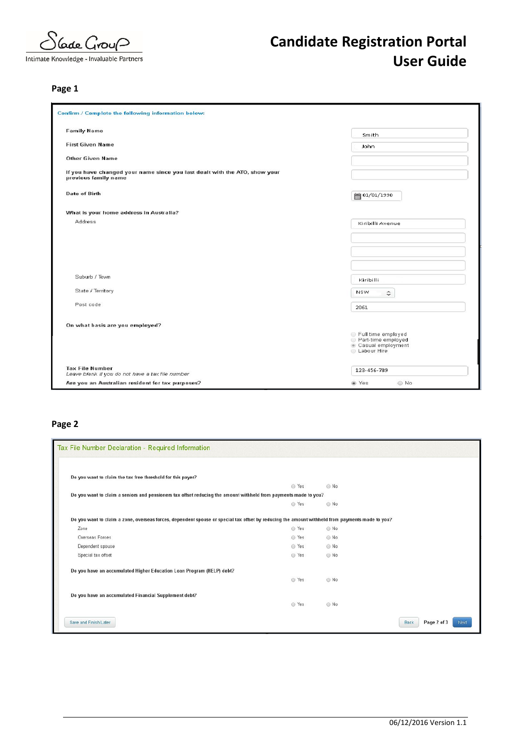Gode Group

Intimate Knowledge - Invaluable Partners

# **Candidate Registration Portal User Guide**

# **Page 1**

| <b>Family Name</b>                                                                                 | Smith                                                                                 |
|----------------------------------------------------------------------------------------------------|---------------------------------------------------------------------------------------|
| <b>First Given Name</b>                                                                            | John                                                                                  |
| <b>Other Given Name</b>                                                                            |                                                                                       |
| If you have changed your name since you last dealt with the ATO, show your<br>previous family name |                                                                                       |
| <b>Date of Birth</b>                                                                               | ■ 01/01/1990                                                                          |
| What is your home address in Australia?                                                            |                                                                                       |
| Address                                                                                            | Kiribilli Avenue                                                                      |
|                                                                                                    |                                                                                       |
|                                                                                                    |                                                                                       |
|                                                                                                    |                                                                                       |
|                                                                                                    |                                                                                       |
| Suburb / Town                                                                                      | Kiribilli                                                                             |
| State / Territory                                                                                  | <b>NSW</b><br>$\hat{\cdot}$                                                           |
| Post code                                                                                          | 2061                                                                                  |
| On what basis are you employed?                                                                    |                                                                                       |
|                                                                                                    | Full time employed<br>Part-time employed<br>Casual employment<br><b>E</b> Labour Hire |
| <b>Tax File Number</b><br>Leave blank if you do not have a tax file number                         | 123-456-789                                                                           |
| Are you an Australian resident for tax purposes?                                                   | @ Yes<br>◎ No                                                                         |

# **Page 2**

| Tax File Number Declaration - Required Information                                                                                              |       |            |                             |
|-------------------------------------------------------------------------------------------------------------------------------------------------|-------|------------|-----------------------------|
| Do you want to claim the tax free threshold for this payer?                                                                                     |       |            |                             |
|                                                                                                                                                 | O Yes | $@$ . No   |                             |
| Do you want to claim a seniors and pensioners tax offset reducing the amount withheld from payments made to you?                                |       |            |                             |
|                                                                                                                                                 | ◎ Yes | O No       |                             |
| Do you want to claim a zone, overseas forces, dependent spouse or special tax offset by reducing the amount withheld from payments made to you? |       |            |                             |
| Zone                                                                                                                                            | ◎ Yes | ◎ No       |                             |
| Overseas Forces                                                                                                                                 | ◯ Yes | O No       |                             |
| Dependent spouse                                                                                                                                | ◎ Yes | $@$ No     |                             |
| Special tax offset                                                                                                                              | ◯ Yes | O No       |                             |
| Do you have an accumulated Higher Education Loan Program (HELP) debt?                                                                           |       |            |                             |
|                                                                                                                                                 | ◎ Yes | O No       |                             |
| Do you have an accumulated Financial Supplement debt?                                                                                           |       |            |                             |
|                                                                                                                                                 | ◎ Yes | $\odot$ No |                             |
| Save and Finish Later                                                                                                                           |       |            | Page 2 of 3<br>Back<br>Next |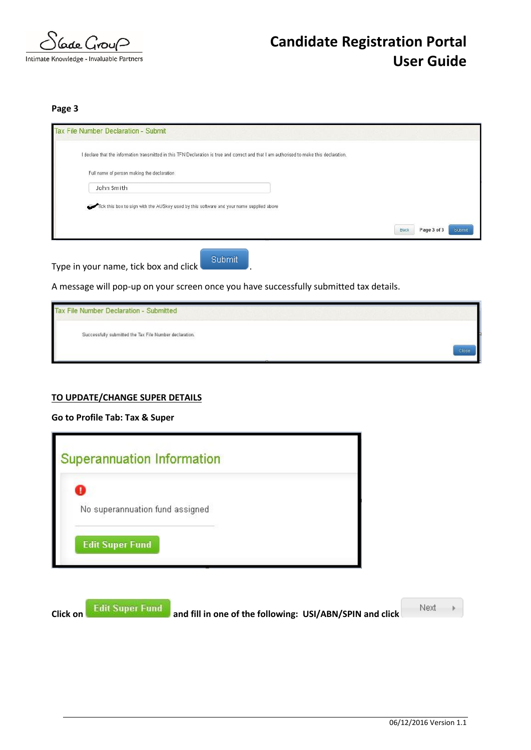

**Page 3**

| I declare that the information transmitted in this TFN Declaration is true and correct and that I am authorised to make this declaration. |      |                       |
|-------------------------------------------------------------------------------------------------------------------------------------------|------|-----------------------|
| Full name of person making the declaration                                                                                                |      |                       |
| John Smith                                                                                                                                |      |                       |
| Tick this box to sign with the AUSkey used by this software and your name supplied above                                                  |      |                       |
|                                                                                                                                           |      |                       |
|                                                                                                                                           | Back | Page 3 of 3<br>Submit |

Type in your name, tick box and click **Submit** 

A message will pop-up on your screen once you have successfully submitted tax details.

Tax File Number Declaration - Submitted Successfully submitted the Tax File Number declaration.

### **TO UPDATE/CHANGE SUPER DETAILS**

## **Go to Profile Tab: Tax & Super**



**Click on Edit Super Fund** and fill in one of the following: USI/ABN/SPIN and click

Next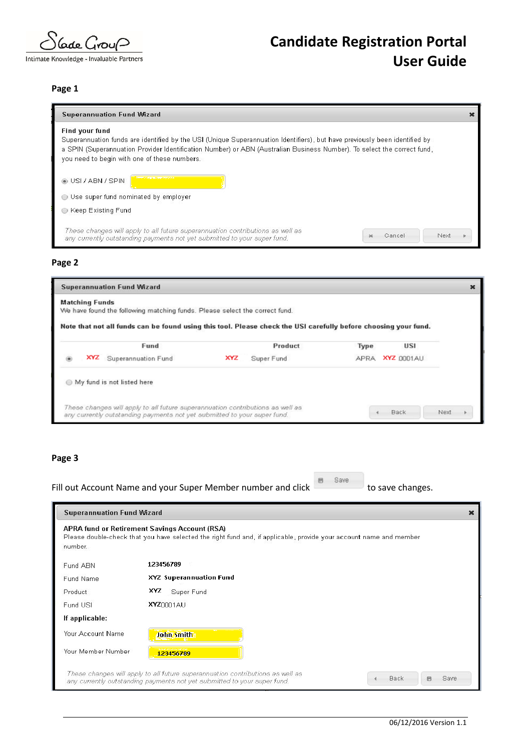lade Grou∩

Intimate Knowledge - Invaluable Partners

# **Candidate Registration Portal User Guide**

#### **Page 1**

| <b>Superannuation Fund Wizard</b>                                                                                                                                                                                                                                                                                              |        |      |  |
|--------------------------------------------------------------------------------------------------------------------------------------------------------------------------------------------------------------------------------------------------------------------------------------------------------------------------------|--------|------|--|
| <b>Find your fund</b><br>Superannuation funds are identified by the USI (Unique Superannuation Identifiers), but have previously been identified by<br>a SPIN (Superannuation Provider Identification Number) or ABN (Australian Business Number). To select the correct fund,<br>you need to begin with one of these numbers. |        |      |  |
| <b>O</b> USI / ABN / SPIN<br>Use super fund nominated by employer                                                                                                                                                                                                                                                              |        |      |  |
| Keep Existing Fund                                                                                                                                                                                                                                                                                                             |        |      |  |
| These changes will apply to all future superannuation contributions as well as<br>any currently outstanding payments not yet submitted to your super fund.                                                                                                                                                                     | Cancel | Next |  |

#### **Page 2**

| <b>Superannuation Fund Wizard</b> |                                                                             |                                                                                                                 |             | $\boldsymbol{\mathsf{x}}$ |      |
|-----------------------------------|-----------------------------------------------------------------------------|-----------------------------------------------------------------------------------------------------------------|-------------|---------------------------|------|
| <b>Matching Funds</b>             | We have found the following matching funds. Please select the correct fund. | Note that not all funds can be found using this tool. Please check the USI carefully before choosing your fund. |             |                           |      |
|                                   | Fund                                                                        | Product                                                                                                         | Type        | USI                       |      |
| XYZ                               | Superannuation Fund                                                         | XYZ<br>Super Fund                                                                                               | <b>APRA</b> | <b>XYZ</b> 0001AU         |      |
|                                   | My fund is not listed here                                                  |                                                                                                                 |             |                           |      |
|                                   | any currently outstanding payments not yet submitted to your super fund.    | These changes will apply to all future superannuation contributions as well as                                  |             | Back                      | Next |

#### **Page 3**

number.

Fund ABN

Fund Name

Product

Fund USI If applicable: Your Account Name

Your Member Number

Fill out Account Name and your Super Member number and click **the save of the save changes.** 

John Smith

123456789

**Superannuation Fund Wizard** APRA fund or Retirement Savings Account (RSA) Please double-check that you have selected the right fund and, if applicable, provide your account name and member 123456789 XYZ Superannuation Fund XYZ Super Fund **XYZ**0001AU

These changes will apply to all future superannuation contributions as well as<br>any currently outstanding payments not yet submitted to your super fund. Back  $\boxplus$  $\mathcal{A}$ 

Save

×